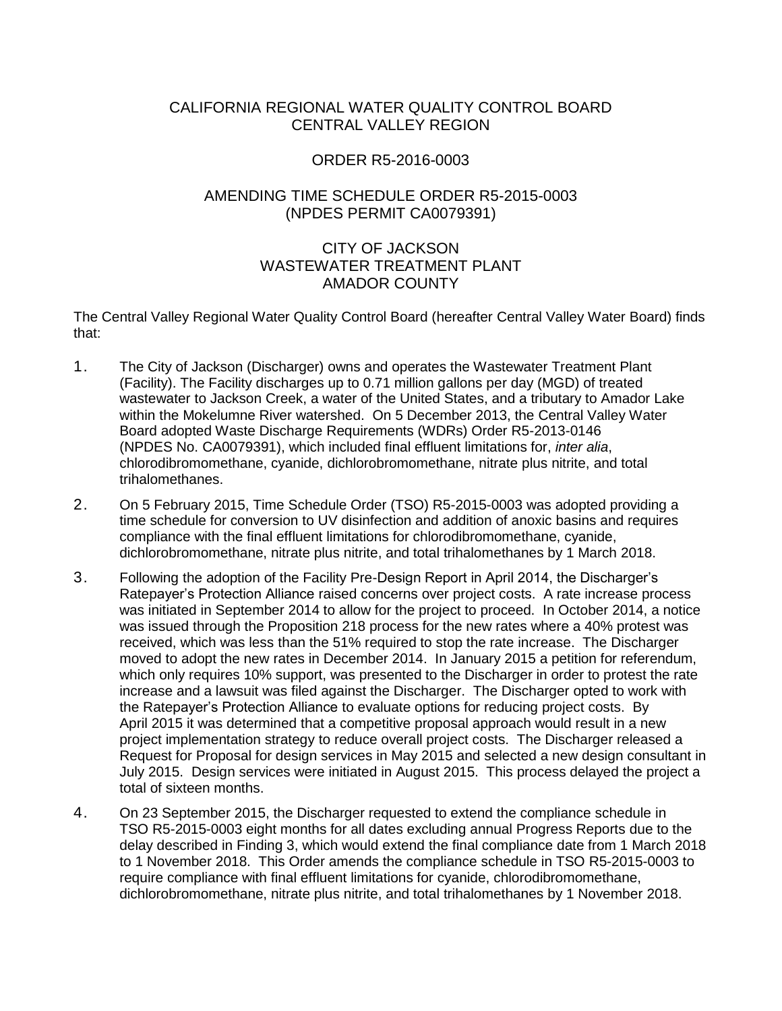## CALIFORNIA REGIONAL WATER QUALITY CONTROL BOARD CENTRAL VALLEY REGION

## ORDER R5-2016-0003

## AMENDING TIME SCHEDULE ORDER R5-2015-0003 (NPDES PERMIT CA0079391)

## CITY OF JACKSON WASTEWATER TREATMENT PLANT AMADOR COUNTY

The Central Valley Regional Water Quality Control Board (hereafter Central Valley Water Board) finds that:

- 1. The City of Jackson (Discharger) owns and operates the Wastewater Treatment Plant (Facility). The Facility discharges up to 0.71 million gallons per day (MGD) of treated wastewater to Jackson Creek, a water of the United States, and a tributary to Amador Lake within the Mokelumne River watershed. On 5 December 2013, the Central Valley Water Board adopted Waste Discharge Requirements (WDRs) Order R5-2013-0146 (NPDES No. CA0079391), which included final effluent limitations for, *inter alia*, chlorodibromomethane, cyanide, dichlorobromomethane, nitrate plus nitrite, and total trihalomethanes.
- 2. On 5 February 2015, Time Schedule Order (TSO) R5-2015-0003 was adopted providing a time schedule for conversion to UV disinfection and addition of anoxic basins and requires compliance with the final effluent limitations for chlorodibromomethane, cyanide, dichlorobromomethane, nitrate plus nitrite, and total trihalomethanes by 1 March 2018.
- 3. Following the adoption of the Facility Pre-Design Report in April 2014, the Discharger's Ratepayer's Protection Alliance raised concerns over project costs. A rate increase process was initiated in September 2014 to allow for the project to proceed. In October 2014, a notice was issued through the Proposition 218 process for the new rates where a 40% protest was received, which was less than the 51% required to stop the rate increase. The Discharger moved to adopt the new rates in December 2014. In January 2015 a petition for referendum, which only requires 10% support, was presented to the Discharger in order to protest the rate increase and a lawsuit was filed against the Discharger. The Discharger opted to work with the Ratepayer's Protection Alliance to evaluate options for reducing project costs. By April 2015 it was determined that a competitive proposal approach would result in a new project implementation strategy to reduce overall project costs. The Discharger released a Request for Proposal for design services in May 2015 and selected a new design consultant in July 2015. Design services were initiated in August 2015. This process delayed the project a total of sixteen months.
- 4. On 23 September 2015, the Discharger requested to extend the compliance schedule in TSO R5-2015-0003 eight months for all dates excluding annual Progress Reports due to the delay described in Finding 3, which would extend the final compliance date from 1 March 2018 to 1 November 2018. This Order amends the compliance schedule in TSO R5-2015-0003 to require compliance with final effluent limitations for cyanide, chlorodibromomethane, dichlorobromomethane, nitrate plus nitrite, and total trihalomethanes by 1 November 2018.